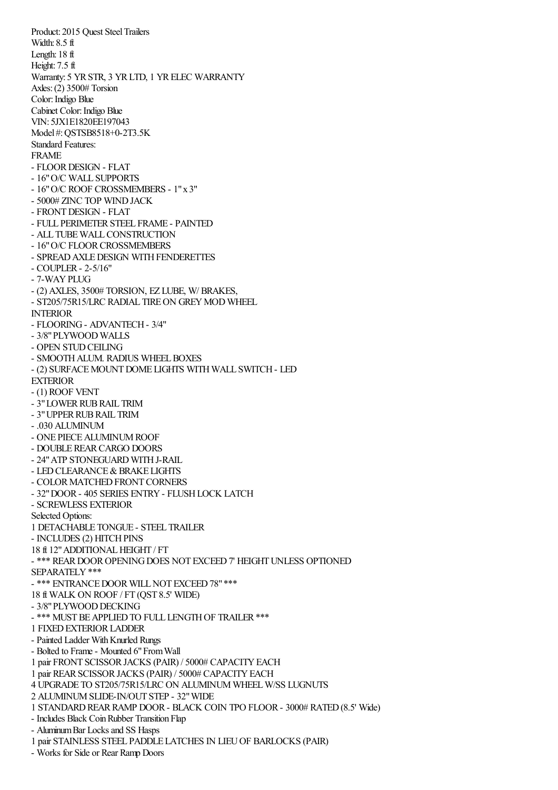Product: 2015 Quest Steel Trailers Width: 8.5 ft Length: 18 ft Height: 7.5 ft Warranty: 5 YR STR, 3 YR LTD, 1 YR ELEC WARRANTY Axles:(2) 3500# Torsion Color: Indigo Blue Cabinet Color: Indigo Blue VIN: 5JX1E1820EE197043 Model #:QSTSB8518+0-2T3.5K Standard Features: FRAME - FLOORDESIGN - FLAT - 16"O/C WALL SUPPORTS - 16"O/C ROOF CROSSMEMBERS - 1"x 3" - 5000# ZINC TOP WINDJACK - FRONTDESIGN - FLAT - FULL PERIMETERSTEEL FRAME - PAINTED - ALL TUBE WALL CONSTRUCTION - 16" O/C FLOOR CROSSMEMBERS - SPREAD AXLE DESIGN WITH FENDERETTES - COUPLER- 2-5/16" - 7-WAYPLUG - (2) AXLES, 3500# TORSION, EZ LUBE, W/ BRAKES, - ST205/75R15/LRC RADIAL TIRE ON GREY MOD WHEEL INTERIOR - FLOORING- ADVANTECH- 3/4" - 3/8"PLYWOOD WALLS - OPEN STUDCEILING - SMOOTH ALUM. RADIUS WHEEL BOXES - (2) SURFACE MOUNT DOME LIGHTS WITH WALL SWITCH - LED EXTERIOR - (1) ROOF VENT - 3" LOWER RUB RAIL TRIM - 3" UPPER RUB RAIL TRIM - .030 ALUMINUM - ONE PIECE ALUMINUM ROOF - DOUBLEREARCARGO DOORS - 24" ATP STONEGUARD WITH J-RAIL - LED CLEARANCE & BRAKE LIGHTS - COLOR MATCHED FRONT CORNERS - 32"DOOR- 405 SERIES ENTRY- FLUSHLOCK LATCH - SCREWLESS EXTERIOR Selected Options: 1 DETACHABLE TONGUE - STEEL TRAILER - INCLUDES (2) HITCH PINS 18 ft 12"ADDITIONALHEIGHT / FT - \*\*\* REAR DOOR OPENING DOES NOT EXCEED 7' HEIGHT UNLESS OPTIONED SEPARATELY\*\*\* - \*\*\* ENTRANCE DOOR WILL NOT EXCEED 78" \*\*\* 18 ft WALK ON ROOF / FT (QST 8.5' WIDE) - 3/8" PLYWOOD DECKING - \*\*\* MUST BE APPLIED TO FULL LENGTH OF TRAILER \*\*\* 1 FIXEDEXTERIORLADDER - Painted Ladder With Knurled Rungs - Bolted to Frame- Mounted 6"FromWall 1 pair FRONT SCISSORJACKS (PAIR) / 5000# CAPACITYEACH 1 pair REARSCISSORJACKS (PAIR) / 5000# CAPACITYEACH 4 UPGRADE TO ST205/75R15/LRC ON ALUMINUM WHEELW/SS LUGNUTS 2 ALUMINUMSLIDE-IN/OUT STEP - 32"WIDE 1 STANDARDREARRAMP DOOR- BLACK COIN TPO FLOOR- 3000# RATED(8.5' Wide) - Includes Black CoinRubber Transition Flap - Aluminum Bar Locks and SS Hasps

1 pair STAINLESS STEEL PADDLE LATCHES IN LIEUOF BARLOCKS (PAIR)

- Works for Side or Rear Ramp Doors